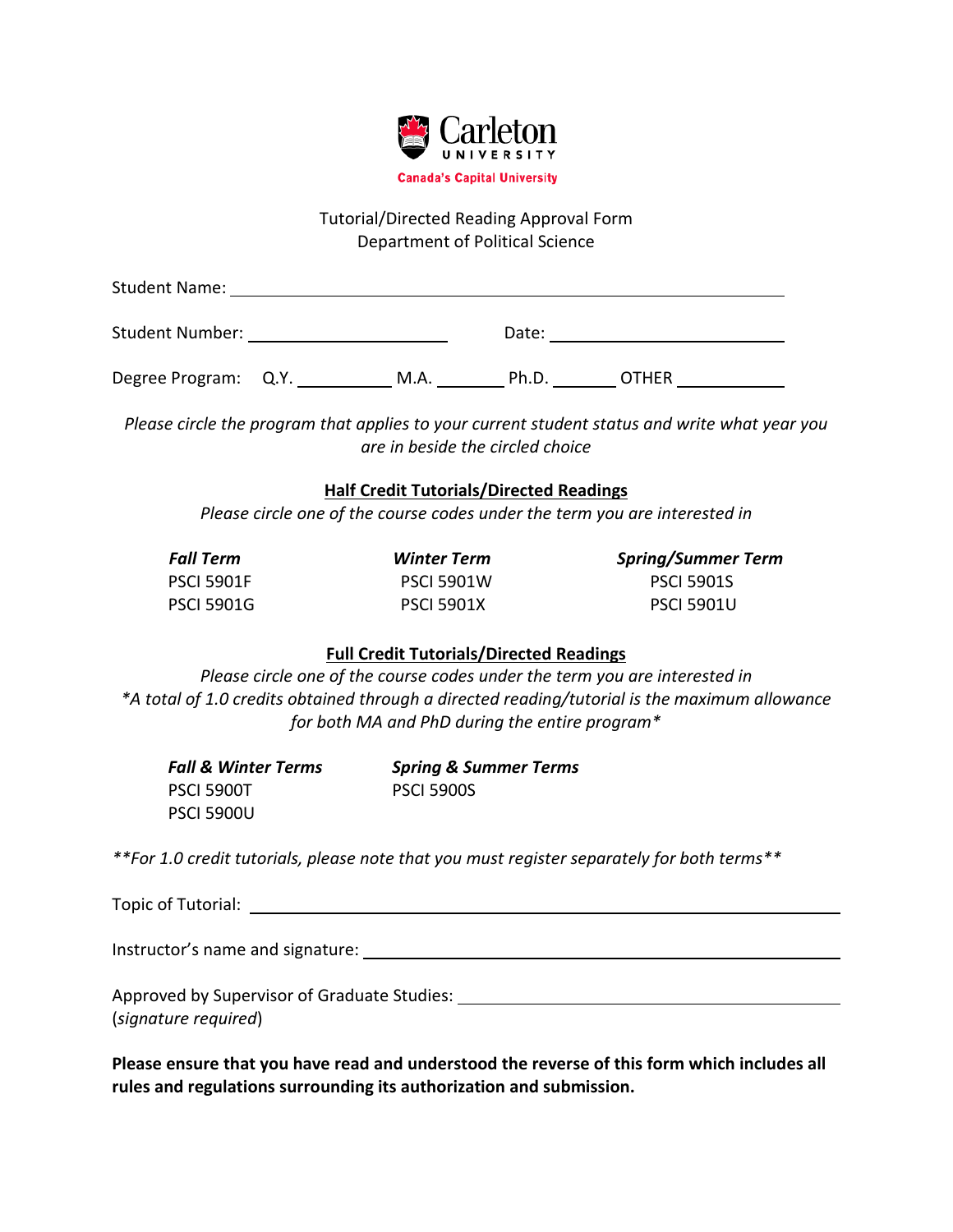

# Tutorial/Directed Reading Approval Form Department of Political Science

| <b>Student Name:</b>   |      |       |              |  |
|------------------------|------|-------|--------------|--|
| <b>Student Number:</b> |      | Date: |              |  |
| Degree Program: Q.Y.   | M.A. | Ph.D. | <b>OTHER</b> |  |

*Please circle the program that applies to your current student status and write what year you are in beside the circled choice*

#### **Half Credit Tutorials/Directed Readings**

*Please circle one of the course codes under the term you are interested in*

| <b>Fall Term</b>  | <b>Winter Term</b> | <b>Spring/Summer Term</b> |
|-------------------|--------------------|---------------------------|
| <b>PSCI 5901F</b> | <b>PSCI 5901W</b>  | <b>PSCI 5901S</b>         |
| <b>PSCI 5901G</b> | <b>PSCI 5901X</b>  | <b>PSCI 5901U</b>         |

# **Full Credit Tutorials/Directed Readings**

*Please circle one of the course codes under the term you are interested in \*A total of 1.0 credits obtained through a directed reading/tutorial is the maximum allowance for both MA and PhD during the entire program\**

| <b>Fall &amp; Winter Terms</b> | <b>Spring &amp; Summer Terms</b> |  |  |
|--------------------------------|----------------------------------|--|--|
| <b>PSCI 5900T</b>              | <b>PSCI 5900S</b>                |  |  |
| <b>PSCI 5900U</b>              |                                  |  |  |

*\*\*For 1.0 credit tutorials, please note that you must register separately for both terms\*\**

Topic of Tutorial:

Instructor's name and signature: The state of the state of the state of the state of the state of the state of the state of the state of the state of the state of the state of the state of the state of the state of the sta

Approved by Supervisor of Graduate Studies:

(*signature required*)

**Please ensure that you have read and understood the reverse of this form which includes all rules and regulations surrounding its authorization and submission.**